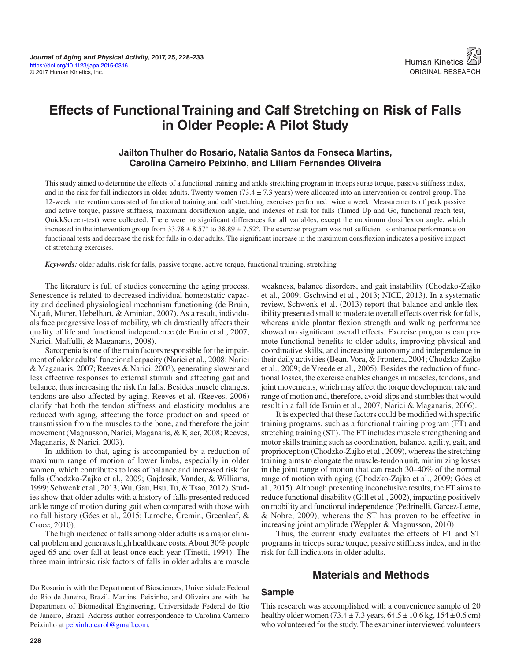# **Effects of Functional Training and Calf Stretching on Risk of Falls in Older People: A Pilot Study**

### **Jailton Thulher do Rosario, Natalia Santos da Fonseca Martins, Carolina Carneiro Peixinho, and Liliam Fernandes Oliveira**

This study aimed to determine the effects of a functional training and ankle stretching program in triceps surae torque, passive stiffness index, and in the risk for fall indicators in older adults. Twenty women  $(73.4 \pm 7.3$  years) were allocated into an intervention or control group. The 12-week intervention consisted of functional training and calf stretching exercises performed twice a week. Measurements of peak passive and active torque, passive stiffness, maximum dorsiflexion angle, and indexes of risk for falls (Timed Up and Go, functional reach test, QuickScreen-test) were collected. There were no significant differences for all variables, except the maximum dorsiflexion angle, which increased in the intervention group from  $33.78 \pm 8.57^\circ$  to  $38.89 \pm 7.52^\circ$ . The exercise program was not sufficient to enhance performance on functional tests and decrease the risk for falls in older adults. The significant increase in the maximum dorsiflexion indicates a positive impact of stretching exercises.

*Keywords:* older adults, risk for falls, passive torque, active torque, functional training, stretching

The literature is full of studies concerning the aging process. Senescence is related to decreased individual homeostatic capacity and declined physiological mechanism functioning (de Bruin, Najafi, Murer, Uebelhart, & Aminian, 2007). As a result, individuals face progressive loss of mobility, which drastically affects their quality of life and functional independence (de Bruin et al., 2007; Narici, Maffulli, & Maganaris, 2008).

Sarcopenia is one of the main factors responsible for the impairment of older adults' functional capacity (Narici et al., 2008; Narici & Maganaris, 2007; Reeves & Narici, 2003), generating slower and less effective responses to external stimuli and affecting gait and balance, thus increasing the risk for falls. Besides muscle changes, tendons are also affected by aging. Reeves et al. (Reeves, 2006) clarify that both the tendon stiffness and elasticity modulus are reduced with aging, affecting the force production and speed of transmission from the muscles to the bone, and therefore the joint movement (Magnusson, Narici, Maganaris, & Kjaer, 2008; Reeves, Maganaris, & Narici, 2003).

In addition to that, aging is accompanied by a reduction of maximum range of motion of lower limbs, especially in older women, which contributes to loss of balance and increased risk for falls (Chodzko-Zajko et al., 2009; Gajdosik, Vander, & Williams, 1999; Schwenk et al., 2013; Wu, Gau, Hsu, Tu, & Tsao, 2012). Studies show that older adults with a history of falls presented reduced ankle range of motion during gait when compared with those with no fall history (Góes et al., 2015; Laroche, Cremin, Greenleaf, & Croce, 2010).

The high incidence of falls among older adults is a major clinical problem and generates high healthcare costs. About 30% people aged 65 and over fall at least once each year (Tinetti, 1994). The three main intrinsic risk factors of falls in older adults are muscle weakness, balance disorders, and gait instability (Chodzko-Zajko et al., 2009; Gschwind et al., 2013; NICE, 2013). In a systematic review, Schwenk et al. (2013) report that balance and ankle flexibility presented small to moderate overall effects over risk for falls, whereas ankle plantar flexion strength and walking performance showed no significant overall effects. Exercise programs can promote functional benefits to older adults, improving physical and coordinative skills, and increasing autonomy and independence in their daily activities (Bean, Vora, & Frontera, 2004; Chodzko-Zajko et al., 2009; de Vreede et al., 2005). Besides the reduction of functional losses, the exercise enables changes in muscles, tendons, and joint movements, which may affect the torque development rate and range of motion and, therefore, avoid slips and stumbles that would result in a fall (de Bruin et al., 2007; Narici & Maganaris, 2006).

It is expected that these factors could be modified with specific training programs, such as a functional training program (FT) and stretching training (ST). The FT includes muscle strengthening and motor skills training such as coordination, balance, agility, gait, and proprioception (Chodzko-Zajko et al., 2009), whereas the stretching training aims to elongate the muscle-tendon unit, minimizing losses in the joint range of motion that can reach 30–40% of the normal range of motion with aging (Chodzko-Zajko et al., 2009; Góes et al., 2015). Although presenting inconclusive results, the FT aims to reduce functional disability (Gill et al., 2002), impacting positively on mobility and functional independence (Pedrinelli, Garcez-Leme, & Nobre, 2009), whereas the ST has proven to be effective in increasing joint amplitude (Weppler & Magnusson, 2010).

Thus, the current study evaluates the effects of FT and ST programs in triceps surae torque, passive stiffness index, and in the risk for fall indicators in older adults.

## **Materials and Methods**

### **Sample**

This research was accomplished with a convenience sample of 20 healthy older women (73.4  $\pm$  7.3 years, 64.5  $\pm$  10.6 kg, 154  $\pm$  0.6 cm) who volunteered for the study. The examiner interviewed volunteers

Do Rosario is with the Department of Biosciences, Universidade Federal do Rio de Janeiro, Brazil. Martins, Peixinho, and Oliveira are with the Department of Biomedical Engineering, Universidade Federal do Rio de Janeiro, Brazil. Address author correspondence to Carolina Carneiro Peixinho at [peixinho.carol@gmail.com](mailto:peixinho.carol@gmail.com).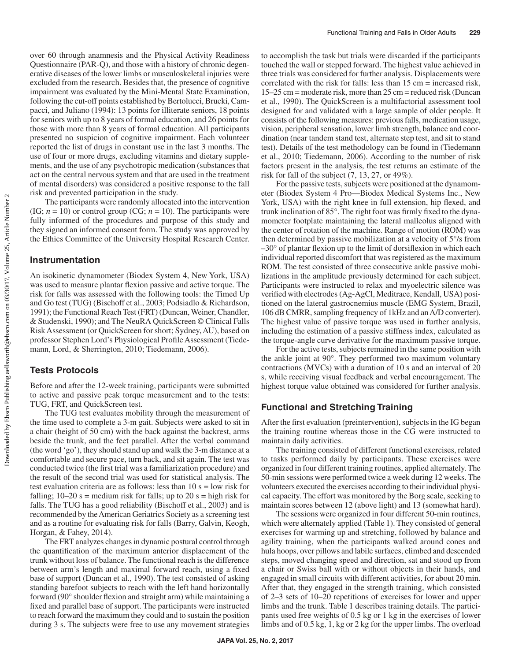over 60 through anamnesis and the Physical Activity Readiness Questionnaire (PAR-Q), and those with a history of chronic degenerative diseases of the lower limbs or musculoskeletal injuries were excluded from the research. Besides that, the presence of cognitive impairment was evaluated by the Mini-Mental State Examination, following the cut-off points established by Bertolucci, Brucki, Campacci, and Juliano (1994): 13 points for illiterate seniors, 18 points for seniors with up to 8 years of formal education, and 26 points for those with more than 8 years of formal education. All participants presented no suspicion of cognitive impairment. Each volunteer reported the list of drugs in constant use in the last 3 months. The use of four or more drugs, excluding vitamins and dietary supplements, and the use of any psychotropic medication (substances that act on the central nervous system and that are used in the treatment of mental disorders) was considered a positive response to the fall risk and prevented participation in the study.

The participants were randomly allocated into the intervention  $(IG; n = 10)$  or control group  $(CG; n = 10)$ . The participants were fully informed of the procedures and purpose of this study and they signed an informed consent form. The study was approved by the Ethics Committee of the University Hospital Research Center.

### **Instrumentation**

An isokinetic dynamometer (Biodex System 4, New York, USA) was used to measure plantar flexion passive and active torque. The risk for falls was assessed with the following tools: the Timed Up and Go test (TUG) (Bischoff et al., 2003; Podsiadlo & Richardson, 1991); the Functional Reach Test (FRT) (Duncan, Weiner, Chandler, & Studenski, 1990); and The NeuRA QuickScreen © Clinical Falls Risk Assessment (or QuickScreen for short; Sydney, AU), based on professor Stephen Lord's Physiological Profile Assessment (Tiedemann, Lord, & Sherrington, 2010; Tiedemann, 2006).

### **Tests Protocols**

Before and after the 12-week training, participants were submitted to active and passive peak torque measurement and to the tests: TUG, FRT, and QuickScreen test.

The TUG test evaluates mobility through the measurement of the time used to complete a 3-m gait. Subjects were asked to sit in a chair (height of 50 cm) with the back against the backrest, arms beside the trunk, and the feet parallel. After the verbal command (the word 'go'), they should stand up and walk the 3-m distance at a comfortable and secure pace, turn back, and sit again. The test was conducted twice (the first trial was a familiarization procedure) and the result of the second trial was used for statistical analysis. The test evaluation criteria are as follows: less than  $10 s =$  low risk for falling;  $10-20$  s = medium risk for falls; up to  $20$  s = high risk for falls. The TUG has a good reliability (Bischoff et al., 2003) and is recommended by the American Geriatrics Society as a screening test and as a routine for evaluating risk for falls (Barry, Galvin, Keogh, Horgan, & Fahey, 2014).

The FRT analyzes changes in dynamic postural control through the quantification of the maximum anterior displacement of the trunk without loss of balance. The functional reach is the difference between arm's length and maximal forward reach, using a fixed base of support (Duncan et al., 1990). The test consisted of asking standing barefoot subjects to reach with the left hand horizontally forward (90° shoulder flexion and straight arm) while maintaining a fixed and parallel base of support. The participants were instructed to reach forward the maximum they could and to sustain the position during 3 s. The subjects were free to use any movement strategies to accomplish the task but trials were discarded if the participants touched the wall or stepped forward. The highest value achieved in three trials was considered for further analysis. Displacements were correlated with the risk for falls: less than 15 cm = increased risk, 15–25 cm = moderate risk, more than 25 cm = reduced risk (Duncan et al., 1990). The QuickScreen is a multifactorial assessment tool designed for and validated with a large sample of older people. It consists of the following measures: previous falls, medication usage, vision, peripheral sensation, lower limb strength, balance and coordination (near tandem stand test, alternate step test, and sit to stand test). Details of the test methodology can be found in (Tiedemann et al., 2010; Tiedemann, 2006). According to the number of risk factors present in the analysis, the test returns an estimate of the risk for fall of the subject (7, 13, 27, or 49%).

For the passive tests, subjects were positioned at the dynamometer (Biodex System 4 Pro—Biodex Medical Systems Inc., New York, USA) with the right knee in full extension, hip flexed, and trunk inclination of 85°. The right foot was firmly fixed to the dynamometer footplate maintaining the lateral malleolus aligned with the center of rotation of the machine. Range of motion (ROM) was then determined by passive mobilization at a velocity of 5°/s from  $-30^{\circ}$  of plantar flexion up to the limit of dorsiflexion in which each individual reported discomfort that was registered as the maximum ROM. The test consisted of three consecutive ankle passive mobilizations in the amplitude previously determined for each subject. Participants were instructed to relax and myoelectric silence was verified with electrodes (Ag-AgCl, Meditrace, Kendall, USA) positioned on the lateral gastrocnemius muscle (EMG System, Brazil, 106 dB CMRR, sampling frequency of 1kHz and an A/D converter). The highest value of passive torque was used in further analysis, including the estimation of a passive stiffness index, calculated as the torque-angle curve derivative for the maximum passive torque.

For the active tests, subjects remained in the same position with the ankle joint at 90°. They performed two maximum voluntary contractions (MVCs) with a duration of 10 s and an interval of 20 s, while receiving visual feedback and verbal encouragement. The highest torque value obtained was considered for further analysis.

### **Functional and Stretching Training**

After the first evaluation (preintervention), subjects in the IG began the training routine whereas those in the CG were instructed to maintain daily activities.

The training consisted of different functional exercises, related to tasks performed daily by participants. These exercises were organized in four different training routines, applied alternately. The 50-min sessions were performed twice a week during 12 weeks. The volunteers executed the exercises according to their individual physical capacity. The effort was monitored by the Borg scale, seeking to maintain scores between 12 (above light) and 13 (somewhat hard).

The sessions were organized in four different 50-min routines, which were alternately applied (Table 1). They consisted of general exercises for warming up and stretching, followed by balance and agility training, when the participants walked around cones and hula hoops, over pillows and labile surfaces, climbed and descended steps, moved changing speed and direction, sat and stood up from a chair or Swiss ball with or without objects in their hands, and engaged in small circuits with different activities, for about 20 min. After that, they engaged in the strength training, which consisted of 2–3 sets of 10–20 repetitions of exercises for lower and upper limbs and the trunk. Table 1 describes training details. The participants used free weights of 0.5 kg or 1 kg in the exercises of lower limbs and of 0.5 kg, 1, kg or 2 kg for the upper limbs. The overload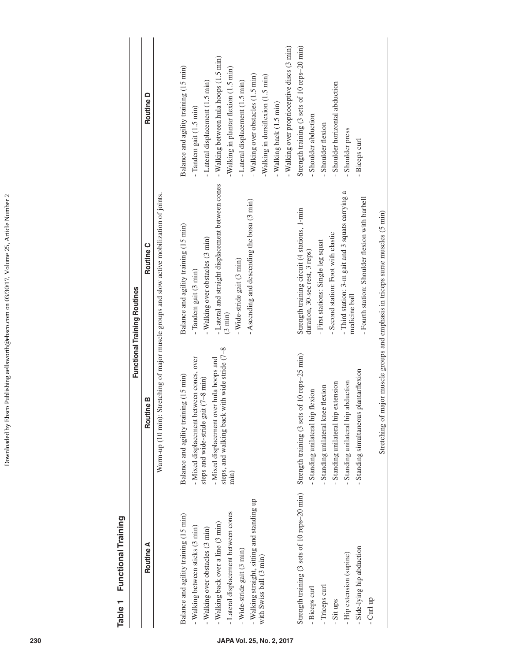| <b>Functional Training Routines</b>       | Routine D<br>Routine C<br><b>Routine B</b> | - Walking over proprioceptive discs (3 min)<br>- Walking between hula hoops (1.5 min)<br>Balance and agility training (15 min)<br>Walking in plantar flexion (1.5 min)<br>- Walking over obstacles (1.5 min)<br>-Walking in dorsiflexion (1.5 min)<br>- Lateral displacement (1.5 min)<br>- Lateral displacement (1.5 min)<br>- Walking back (1.5 min)<br>Tandem gait (1.5 min)<br>- Lateral and straight displacement between cones<br>Warm-up (10 min): Stretching of major muscle groups and slow active mobilization of joints.<br>- Ascending and descending the bosu (3 min)<br>Balance and agility training (15 min)<br>- Walking over obstacles (3 min)<br>Wide-stride gait (3 min)<br>- Tandem gait (3 min)<br>(3 min)<br>with wide stride (7-8<br>- Mixed displacement between cones, over<br>steps and wide-stride gait $(7-8 \text{ min})$<br>- Mixed displacement over hula hoops and<br>Balance and agility training (15 min)<br>steps, and walking back<br>min) | Strength training (3 sets of 10 reps-20 min)<br>Shoulder horizontal abduction<br>- Shoulder abduction<br>Shoulder flexion<br>Shoulder press<br>- Biceps curl<br>- Third station: 3-m gait and 3 squats carrying a<br>- Fourth station: Shoulder flexion with barbell<br>Strength training circuit (4 stations, 1-min<br>- Second station: Foot with elastic<br>- First stations: Single leg squat<br>duration, 30-sec rest, 3 reps)<br>medicine ball<br>Strength training (3 sets of 10 reps-25 min)<br>- Standing simultaneous plantarflexion<br>- Standing unilateral hip abduction<br>extension<br>- Standing unilateral knee flexion<br>- Standing unilateral hip flexion<br>- Standing unilateral hip |
|-------------------------------------------|--------------------------------------------|--------------------------------------------------------------------------------------------------------------------------------------------------------------------------------------------------------------------------------------------------------------------------------------------------------------------------------------------------------------------------------------------------------------------------------------------------------------------------------------------------------------------------------------------------------------------------------------------------------------------------------------------------------------------------------------------------------------------------------------------------------------------------------------------------------------------------------------------------------------------------------------------------------------------------------------------------------------------------------|------------------------------------------------------------------------------------------------------------------------------------------------------------------------------------------------------------------------------------------------------------------------------------------------------------------------------------------------------------------------------------------------------------------------------------------------------------------------------------------------------------------------------------------------------------------------------------------------------------------------------------------------------------------------------------------------------------|
| Functional Training<br>Table <sub>1</sub> | Routine A                                  | - Walking straight, sitting and standing up<br>-Lateral displacement between cones<br>Balance and agility training (15 min)<br>- Walking back over a line (3 min)<br>- Walking between sticks (3 min)<br>- Walking over obstacles (3 min)<br>- Wide-stride gait (3 min)<br>with Swiss ball (3 min)                                                                                                                                                                                                                                                                                                                                                                                                                                                                                                                                                                                                                                                                             | Strength training (3 sets of 10 reps-20 min)<br>- Side-lying hip abduction<br>- Hip extension (supine)<br>- Triceps curl<br>- Biceps curl<br>- Curl up<br>- Sit ups                                                                                                                                                                                                                                                                                                                                                                                                                                                                                                                                        |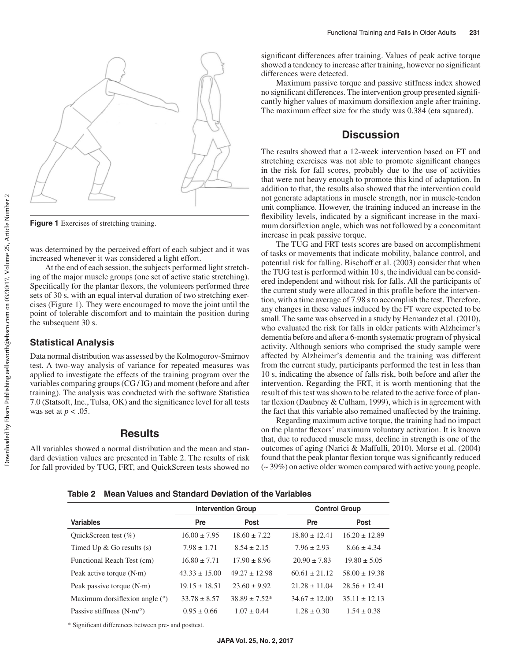

**Figure 1** Exercises of stretching training.

was determined by the perceived effort of each subject and it was increased whenever it was considered a light effort.

At the end of each session, the subjects performed light stretching of the major muscle groups (one set of active static stretching). Specifically for the plantar flexors, the volunteers performed three sets of 30 s, with an equal interval duration of two stretching exercises (Figure 1). They were encouraged to move the joint until the point of tolerable discomfort and to maintain the position during the subsequent 30 s.

### **Statistical Analysis**

Data normal distribution was assessed by the Kolmogorov-Smirnov test. A two-way analysis of variance for repeated measures was applied to investigate the effects of the training program over the variables comparing groups (CG / IG) and moment (before and after training). The analysis was conducted with the software Statistica 7.0 (Statsoft, Inc., Tulsa, OK) and the significance level for all tests was set at *p* < .05.

### **Results**

All variables showed a normal distribution and the mean and standard deviation values are presented in Table 2. The results of risk for fall provided by TUG, FRT, and QuickScreen tests showed no significant differences after training. Values of peak active torque showed a tendency to increase after training, however no significant differences were detected.

Maximum passive torque and passive stiffness index showed no significant differences. The intervention group presented significantly higher values of maximum dorsiflexion angle after training. The maximum effect size for the study was 0.384 (eta squared).

### **Discussion**

The results showed that a 12-week intervention based on FT and stretching exercises was not able to promote significant changes in the risk for fall scores, probably due to the use of activities that were not heavy enough to promote this kind of adaptation. In addition to that, the results also showed that the intervention could not generate adaptations in muscle strength, nor in muscle-tendon unit compliance. However, the training induced an increase in the flexibility levels, indicated by a significant increase in the maximum dorsiflexion angle, which was not followed by a concomitant increase in peak passive torque.

The TUG and FRT tests scores are based on accomplishment of tasks or movements that indicate mobility, balance control, and potential risk for falling. Bischoff et al. (2003) consider that when the TUG test is performed within 10 s, the individual can be considered independent and without risk for falls. All the participants of the current study were allocated in this profile before the intervention, with a time average of 7.98 s to accomplish the test. Therefore, any changes in these values induced by the FT were expected to be small. The same was observed in a study by Hernandez et al. (2010), who evaluated the risk for falls in older patients with Alzheimer's dementia before and after a 6-month systematic program of physical activity. Although seniors who comprised the study sample were affected by Alzheimer's dementia and the training was different from the current study, participants performed the test in less than 10 s, indicating the absence of falls risk, both before and after the intervention. Regarding the FRT, it is worth mentioning that the result of this test was shown to be related to the active force of plantar flexion (Daubney & Culham, 1999), which is in agreement with the fact that this variable also remained unaffected by the training.

Regarding maximum active torque, the training had no impact on the plantar flexors' maximum voluntary activation. It is known that, due to reduced muscle mass, decline in strength is one of the outcomes of aging (Narici & Maffulli, 2010). Morse et al. (2004) found that the peak plantar flexion torque was significantly reduced (~ 39%) on active older women compared with active young people.

**Table 2 Mean Values and Standard Deviation of the Variables**

|                                         | <b>Intervention Group</b> |                    | <b>Control Group</b> |                   |
|-----------------------------------------|---------------------------|--------------------|----------------------|-------------------|
| <b>Variables</b>                        | Pre                       | <b>Post</b>        | Pre                  | <b>Post</b>       |
| QuickScreen test $(\% )$                | $16.00 \pm 7.95$          | $18.60 \pm 7.22$   | $18.80 \pm 12.41$    | $16.20 \pm 12.89$ |
| Timed Up $&$ Go results (s)             | $7.98 \pm 1.71$           | $8.54 \pm 2.15$    | $7.96 \pm 2.93$      | $8.66 \pm 4.34$   |
| Functional Reach Test (cm)              | $16.80 \pm 7.71$          | $17.90 \pm 8.96$   | $20.90 \pm 7.83$     | $19.80 \pm 5.05$  |
| Peak active torque $(N \cdot m)$        | $43.33 \pm 15.00$         | $49.27 \pm 12.98$  | $60.61 \pm 21.12$    | $58.00 \pm 19.38$ |
| Peak passive torque $(N \cdot m)$       | $19.15 \pm 18.51$         | $23.60 \pm 9.92$   | $21.28 \pm 11.04$    | $28.56 \pm 12.41$ |
| Maximum dorsifiexion angle $(°)$        | $33.78 \pm 8.57$          | $38.89 \pm 7.52^*$ | $34.67 \pm 12.00$    | $35.11 \pm 12.13$ |
| Passive stiffness $(N \cdot m)^{\circ}$ | $0.95 \pm 0.66$           | $1.07 \pm 0.44$    | $1.28 \pm 0.30$      | $1.54 \pm 0.38$   |

\* Significant differences between pre- and posttest.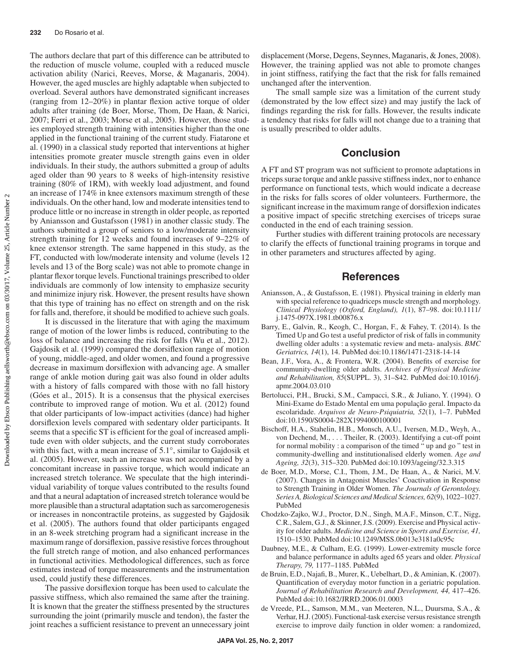The authors declare that part of this difference can be attributed to the reduction of muscle volume, coupled with a reduced muscle activation ability (Narici, Reeves, Morse, & Maganaris, 2004). However, the aged muscles are highly adaptable when subjected to overload. Several authors have demonstrated significant increases (ranging from 12–20%) in plantar flexion active torque of older adults after training (de Boer, Morse, Thom, De Haan, & Narici, 2007; Ferri et al., 2003; Morse et al., 2005). However, those studies employed strength training with intensities higher than the one applied in the functional training of the current study. Fiatarone et al. (1990) in a classical study reported that interventions at higher intensities promote greater muscle strength gains even in older individuals. In their study, the authors submitted a group of adults aged older than 90 years to 8 weeks of high-intensity resistive training (80% of 1RM), with weekly load adjustment, and found an increase of 174% in knee extensors maximum strength of these individuals. On the other hand, low and moderate intensities tend to produce little or no increase in strength in older people, as reported by Aniansson and Gustafsson (1981) in another classic study. The authors submitted a group of seniors to a low/moderate intensity strength training for 12 weeks and found increases of 9–22% of knee extensor strength. The same happened in this study, as the FT, conducted with low/moderate intensity and volume (levels 12 levels and 13 of the Borg scale) was not able to promote change in plantar flexor torque levels. Functional trainings prescribed to older individuals are commonly of low intensity to emphasize security and minimize injury risk. However, the present results have shown that this type of training has no effect on strength and on the risk for falls and, therefore, it should be modified to achieve such goals.

It is discussed in the literature that with aging the maximum range of motion of the lower limbs is reduced, contributing to the loss of balance and increasing the risk for falls (Wu et al., 2012). Gajdosik et al. (1999) compared the dorsiflexion range of motion of young, middle-aged, and older women, and found a progressive decrease in maximum dorsiflexion with advancing age. A smaller range of ankle motion during gait was also found in older adults with a history of falls compared with those with no fall history (Góes et al., 2015). It is a consensus that the physical exercises contribute to improved range of motion. Wu et al. (2012) found that older participants of low-impact activities (dance) had higher dorsiflexion levels compared with sedentary older participants. It seems that a specific ST is efficient for the goal of increased amplitude even with older subjects, and the current study corroborates with this fact, with a mean increase of 5.1°, similar to Gajdosik et al. (2005). However, such an increase was not accompanied by a concomitant increase in passive torque, which would indicate an increased stretch tolerance. We speculate that the high interindividual variability of torque values contributed to the results found and that a neural adaptation of increased stretch tolerance would be more plausible than a structural adaptation such as sarcomerogenesis or increases in noncontractile proteins, as suggested by Gajdosik et al. (2005). The authors found that older participants engaged in an 8-week stretching program had a significant increase in the maximum range of dorsiflexion, passive resistive forces throughout the full stretch range of motion, and also enhanced performances in functional activities. Methodological differences, such as force estimates instead of torque measurements and the instrumentation used, could justify these differences.

The passive dorsiflexion torque has been used to calculate the passive stiffness, which also remained the same after the training. It is known that the greater the stiffness presented by the structures surrounding the joint (primarily muscle and tendon), the faster the joint reaches a sufficient resistance to prevent an unnecessary joint displacement (Morse, Degens, Seynnes, Maganaris, & Jones, 2008). However, the training applied was not able to promote changes in joint stiffness, ratifying the fact that the risk for falls remained unchanged after the intervention.

The small sample size was a limitation of the current study (demonstrated by the low effect size) and may justify the lack of findings regarding the risk for falls. However, the results indicate a tendency that risks for falls will not change due to a training that is usually prescribed to older adults.

### **Conclusion**

A FT and ST program was not sufficient to promote adaptations in triceps surae torque and ankle passive stiffness index, nor to enhance performance on functional tests, which would indicate a decrease in the risks for falls scores of older volunteers. Furthermore, the significant increase in the maximum range of dorsiflexion indicates a positive impact of specific stretching exercises of triceps surae conducted in the end of each training session.

Further studies with different training protocols are necessary to clarify the effects of functional training programs in torque and in other parameters and structures affected by aging.

### **References**

- Aniansson, A., & Gustafsson, E. (1981). Physical training in elderly man with special reference to quadriceps muscle strength and morphology. *Clinical Physiology (Oxford, England), 1*(1), 87–98. [doi:10.1111/](http://dx.doi.org/10.1111/j.1475-097X.1981.tb00876.x) [j.1475-097X.1981.tb00876.x](http://dx.doi.org/10.1111/j.1475-097X.1981.tb00876.x)
- Barry, E., Galvin, R., Keogh, C., Horgan, F., & Fahey, T. (2014). Is the Timed Up and Go test a useful predictor of risk of falls in community dwelling older adults : a systematic review and meta- analysis. *BMC Geriatrics, 14*(1), 14. [PubMed](https://www.ncbi.nlm.nih.gov/entrez/query.fcgi?cmd=Retrieve&db=PubMed&list_uids=24484314&dopt=Abstract) [doi:10.1186/1471-2318-14-14](http://dx.doi.org/10.1186/1471-2318-14-14)
- Bean, J.F., Vora, A., & Frontera, W.R. (2004). Benefits of exercise for community-dwelling older adults. *Archives of Physical Medicine and Rehabilitation, 85*(SUPPL. 3), 31–S42. [PubMed](https://www.ncbi.nlm.nih.gov/entrez/query.fcgi?cmd=Retrieve&db=PubMed&list_uids=15221722&dopt=Abstract) [doi:10.1016/j.](http://dx.doi.org/10.1016/j.apmr.2004.03.010) [apmr.2004.03.010](http://dx.doi.org/10.1016/j.apmr.2004.03.010)
- Bertolucci, P.H., Brucki, S.M., Campacci, S.R., & Juliano, Y. (1994). O Mini-Exame do Estado Mental em uma população geral. Impacto da escolaridade. *Arquivos de Neuro-Psiquiatria, 52*(1), 1–7[. PubMed](https://www.ncbi.nlm.nih.gov/entrez/query.fcgi?cmd=Retrieve&db=PubMed&list_uids=8002795&dopt=Abstract) [doi:10.1590/S0004-282X1994000100001](http://dx.doi.org/10.1590/S0004-282X1994000100001)
- Bischoff, H.A., Stahelin, H.B., Monsch, A.U., Iversen, M.D., Weyh, A., von Dechend, M., . . . Theiler, R. (2003). Identifying a cut-off point for normal mobility : a comparison of the timed " up and go " test in community-dwelling and institutionalised elderly women. *Age and Ageing, 32*(3), 315–320. [PubMed](https://www.ncbi.nlm.nih.gov/entrez/query.fcgi?cmd=Retrieve&db=PubMed&list_uids=12720619&dopt=Abstract) [doi:10.1093/ageing/32.3.315](http://dx.doi.org/10.1093/ageing/32.3.315)
- de Boer, M.D., Morse, C.I., Thom, J.M., De Haan, A., & Narici, M.V. (2007). Changes in Antagonist Muscles' Coactivation in Response to Strength Training in Older Women. *The Journals of Gerontology. Series A, Biological Sciences and Medical Sciences, 62*(9), 1022–1027. [PubMed](https://www.ncbi.nlm.nih.gov/entrez/query.fcgi?cmd=Retrieve&db=PubMed&list_uids=17895442&dopt=Abstract)
- Chodzko-Zajko, W.J., Proctor, D.N., Singh, M.A.F., Minson, C.T., Nigg, C.R., Salem, G.J., & Skinner, J.S. (2009). Exercise and Physical activity for older adults. *Medicine and Science in Sports and Exercise, 41,* 1510–1530. [PubMed](https://www.ncbi.nlm.nih.gov/entrez/query.fcgi?cmd=Retrieve&db=PubMed&list_uids=19516148&dopt=Abstract) [doi:10.1249/MSS.0b013e3181a0c95c](http://dx.doi.org/10.1249/MSS.0b013e3181a0c95c)
- Daubney, M.E., & Culham, E.G. (1999). Lower-extremity muscle force and balance performance in adults aged 65 years and older. *Physical Therapy, 79,* 1177–1185[. PubMed](https://www.ncbi.nlm.nih.gov/entrez/query.fcgi?cmd=Retrieve&db=PubMed&list_uids=10630286&dopt=Abstract)
- de Bruin, E.D., Najafi, B., Murer, K., Uebelhart, D., & Aminian, K. (2007). Quantification of everyday motor function in a geriatric population. *Journal of Rehabilitation Research and Development, 44,* 417–426. [PubMed](https://www.ncbi.nlm.nih.gov/entrez/query.fcgi?cmd=Retrieve&db=PubMed&list_uids=18247238&dopt=Abstract) [doi:10.1682/JRRD.2006.01.0003](http://dx.doi.org/10.1682/JRRD.2006.01.0003)
- de Vreede, P.L., Samson, M.M., van Meeteren, N.L., Duursma, S.A., & Verhar, H.J. (2005). Functional-task exercise versus resistance strength exercise to improve daily function in older women: a randomized,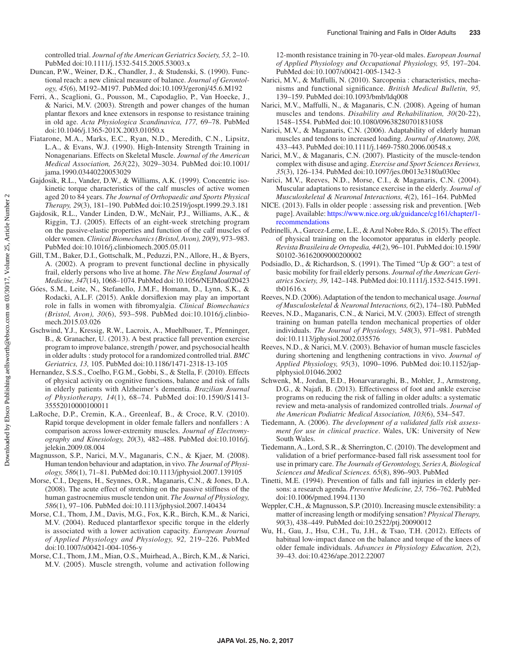controlled trial. *Journal of the American Geriatrics Society, 53,* 2–10. [PubMed](https://www.ncbi.nlm.nih.gov/entrez/query.fcgi?cmd=Retrieve&db=PubMed&list_uids=15667369&dopt=Abstract) [doi:10.1111/j.1532-5415.2005.53003.x](http://dx.doi.org/10.1111/j.1532-5415.2005.53003.x)

- Duncan, P.W., Weiner, D.K., Chandler, J., & Studenski, S. (1990). Functional reach: a new clinical measure of balance. *Journal of Gerontology, 45*(6), M192–M197. [PubMed](https://www.ncbi.nlm.nih.gov/entrez/query.fcgi?cmd=Retrieve&db=PubMed&list_uids=2229941&dopt=Abstract) [doi:10.1093/geronj/45.6.M192](http://dx.doi.org/10.1093/geronj/45.6.M192)
- Ferri, A., Scaglioni, G., Pousson, M., Capodaglio, P., Van Hoecke, J., & Narici, M.V. (2003). Strength and power changes of the human plantar flexors and knee extensors in response to resistance training in old age. *Acta Physiologica Scandinavica, 177,* 69–78[. PubMed](https://www.ncbi.nlm.nih.gov/entrez/query.fcgi?cmd=Retrieve&db=PubMed&list_uids=12492780&dopt=Abstract) [doi:10.1046/j.1365-201X.2003.01050.x](http://dx.doi.org/10.1046/j.1365-201X.2003.01050.x)
- Fiatarone, M.A., Marks, E.C., Ryan, N.D., Meredith, C.N., Lipsitz, L.A., & Evans, W.J. (1990). High-Intensity Strength Training in Nonagenarians. Effects on Skeletal Muscle. *Journal of the American Medical Association, 263*(22), 3029–3034[. PubMed](https://www.ncbi.nlm.nih.gov/entrez/query.fcgi?cmd=Retrieve&db=PubMed&list_uids=2342214&dopt=Abstract) [doi:10.1001/](http://dx.doi.org/10.1001/jama.1990.03440220053029) [jama.1990.03440220053029](http://dx.doi.org/10.1001/jama.1990.03440220053029)
- Gajdosik, R.L., Vander, D.W., & Williams, A.K. (1999). Concentric isokinetic torque characteristics of the calf muscles of active women aged 20 to 84 years. *The Journal of Orthopaedic and Sports Physical Therapy, 29*(3), 181–190. [PubMed](https://www.ncbi.nlm.nih.gov/entrez/query.fcgi?cmd=Retrieve&db=PubMed&list_uids=10322592&dopt=Abstract) [doi:10.2519/jospt.1999.29.3.181](http://dx.doi.org/10.2519/jospt.1999.29.3.181)
- Gajdosik, R.L., Vander Linden, D.W., McNair, P.J., Williams, A.K., & Riggin, T.J. (2005). Effects of an eight-week stretching program on the passive-elastic properties and function of the calf muscles of older women. *Clinical Biomechanics (Bristol, Avon), 20*(9), 973–983. [PubMed](https://www.ncbi.nlm.nih.gov/entrez/query.fcgi?cmd=Retrieve&db=PubMed&list_uids=16054737&dopt=Abstract) [doi:10.1016/j.clinbiomech.2005.05.011](http://dx.doi.org/10.1016/j.clinbiomech.2005.05.011)
- Gill, T.M., Baker, D.I., Gottschalk, M., Peduzzi, P.N., Allore, H., & Byers, A. (2002). A program to prevent functional decline in physically frail, elderly persons who live at home. *The New England Journal of Medicine, 347*(14), 1068–1074. [PubMed](https://www.ncbi.nlm.nih.gov/entrez/query.fcgi?cmd=Retrieve&db=PubMed&list_uids=12362007&dopt=Abstract) [doi:10.1056/NEJMoa020423](http://dx.doi.org/10.1056/NEJMoa020423)
- Góes, S.M., Leite, N., Stefanello, J.M.F., Homann, D., Lynn, S.K., & Rodacki, A.L.F. (2015). Ankle dorsiflexion may play an important role in falls in women with fibromyalgia. *Clinical Biomechanics (Bristol, Avon), 30*(6), 593–598. [PubMed](https://www.ncbi.nlm.nih.gov/entrez/query.fcgi?cmd=Retrieve&db=PubMed&list_uids=25866321&dopt=Abstract) [doi:10.1016/j.clinbio](http://dx.doi.org/10.1016/j.clinbiomech.2015.03.026)[mech.2015.03.026](http://dx.doi.org/10.1016/j.clinbiomech.2015.03.026)
- Gschwind, Y.J., Kressig, R.W., Lacroix, A., Muehlbauer, T., Pfenninger, B., & Granacher, U. (2013). A best practice fall prevention exercise program to improve balance, strength / power, and psychosocial health in older adults : study protocol for a randomized controlled trial. *BMC Geriatrics, 13,* 105. [PubMed](https://www.ncbi.nlm.nih.gov/entrez/query.fcgi?cmd=Retrieve&db=PubMed&list_uids=24106864&dopt=Abstract) [doi:10.1186/1471-2318-13-105](http://dx.doi.org/10.1186/1471-2318-13-105)
- Hernandez, S.S.S., Coelho, F.G.M., Gobbi, S., & Stella, F. (2010). Effects of physical activity on cognitive functions, balance and risk of falls in elderly patients with Alzheimer's dementia. *Brazilian Journal of Physiotherapy, 14*(1), 68–74. [PubMed](https://www.ncbi.nlm.nih.gov/entrez/query.fcgi?cmd=Retrieve&db=PubMed&list_uids=20414564&dopt=Abstract) [doi:10.1590/S1413-](http://dx.doi.org/10.1590/S1413-35552010000100011) [35552010000100011](http://dx.doi.org/10.1590/S1413-35552010000100011)
- LaRoche, D.P., Cremin, K.A., Greenleaf, B., & Croce, R.V. (2010). Rapid torque development in older female fallers and nonfallers : A comparison across lower-extremity muscles. *Journal of Electromyography and Kinesiology, 20*(3), 482–488[. PubMed](https://www.ncbi.nlm.nih.gov/entrez/query.fcgi?cmd=Retrieve&db=PubMed&list_uids=19782579&dopt=Abstract) [doi:10.1016/j.](http://dx.doi.org/10.1016/j.jelekin.2009.08.004) [jelekin.2009.08.004](http://dx.doi.org/10.1016/j.jelekin.2009.08.004)
- Magnusson, S.P., Narici, M.V., Maganaris, C.N., & Kjaer, M. (2008). Human tendon behaviour and adaptation, in vivo. *The Journal of Physiology, 586*(1), 71–81[. PubMed](https://www.ncbi.nlm.nih.gov/entrez/query.fcgi?cmd=Retrieve&db=PubMed&list_uids=17855761&dopt=Abstract) [doi:10.1113/jphysiol.2007.139105](http://dx.doi.org/10.1113/jphysiol.2007.139105)
- Morse, C.I., Degens, H., Seynnes, O.R., Maganaris, C.N., & Jones, D.A. (2008). The acute effect of stretching on the passive stiffness of the human gastrocnemius muscle tendon unit. *The Journal of Physiology, 586*(1), 97–106. [PubMed](https://www.ncbi.nlm.nih.gov/entrez/query.fcgi?cmd=Retrieve&db=PubMed&list_uids=17884924&dopt=Abstract) [doi:10.1113/jphysiol.2007.140434](http://dx.doi.org/10.1113/jphysiol.2007.140434)
- Morse, C.I., Thom, J.M., Davis, M.G., Fox, K.R., Birch, K.M., & Narici, M.V. (2004). Reduced plantarflexor specific torque in the elderly is associated with a lower activation capacity. *European Journal of Applied Physiology and Physiology, 92,* 219–226[. PubMed](https://www.ncbi.nlm.nih.gov/entrez/query.fcgi?cmd=Retrieve&db=PubMed&list_uids=15054662&dopt=Abstract) [doi:10.1007/s00421-004-1056-y](http://dx.doi.org/10.1007/s00421-004-1056-y)
- Morse, C.I., Thom, J.M., Mian, O.S., Muirhead, A., Birch, K.M., & Narici, M.V. (2005). Muscle strength, volume and activation following

12-month resistance training in 70-year-old males. *European Journal of Applied Physiology and Occupational Physiology, 95,* 197–204. [PubMed](https://www.ncbi.nlm.nih.gov/entrez/query.fcgi?cmd=Retrieve&db=PubMed&list_uids=16003538&dopt=Abstract) [doi:10.1007/s00421-005-1342-3](http://dx.doi.org/10.1007/s00421-005-1342-3)

- Narici, M.V., & Maffulli, N. (2010). Sarcopenia : characteristics, mechanisms and functional significance. *British Medical Bulletin, 95,* 139–159. [PubMed](https://www.ncbi.nlm.nih.gov/entrez/query.fcgi?cmd=Retrieve&db=PubMed&list_uids=20200012&dopt=Abstract) [doi:10.1093/bmb/ldq008](http://dx.doi.org/10.1093/bmb/ldq008)
- Narici, M.V., Maffulli, N., & Maganaris, C.N. (2008). Ageing of human muscles and tendons. *Disability and Rehabilitation, 30*(20-22), 1548–1554. [PubMed](https://www.ncbi.nlm.nih.gov/entrez/query.fcgi?cmd=Retrieve&db=PubMed&list_uids=18608375&dopt=Abstract) [doi:10.1080/09638280701831058](http://dx.doi.org/10.1080/09638280701831058)
- Narici, M.V., & Maganaris, C.N. (2006). Adaptability of elderly human muscles and tendons to increased loading. *Journal of Anatomy, 208,* 433–443. [PubMed](https://www.ncbi.nlm.nih.gov/entrez/query.fcgi?cmd=Retrieve&db=PubMed&list_uids=16637869&dopt=Abstract) [doi:10.1111/j.1469-7580.2006.00548.x](http://dx.doi.org/10.1111/j.1469-7580.2006.00548.x)
- Narici, M.V., & Maganaris, C.N. (2007). Plasticity of the muscle-tendon complex with disuse and aging. *Exercise and Sport Sciences Reviews, 35*(3), 126–134. [PubMed](https://www.ncbi.nlm.nih.gov/entrez/query.fcgi?cmd=Retrieve&db=PubMed&list_uids=17620931&dopt=Abstract) [doi:10.1097/jes.0b013e3180a030ec](http://dx.doi.org/10.1097/jes.0b013e3180a030ec)
- Narici, M.V., Reeves, N.D., Morse, C.I., & Maganaris, C.N. (2004). Muscular adaptations to resistance exercise in the elderly. *Journal of Musculoskeletal & Neuronal Interactions, 4*(2), 161–164. [PubMed](https://www.ncbi.nlm.nih.gov/entrez/query.fcgi?cmd=Retrieve&db=PubMed&list_uids=15615118&dopt=Abstract)
- NICE. (2013). Falls in older people : assessing risk and prevention. [Web page]. Available: [https://www.nice.org.uk/guidance/cg161/chapter/1](https://www.nice.org.uk/guidance/cg161/chapter/1-recommendations) [recommendations](https://www.nice.org.uk/guidance/cg161/chapter/1-recommendations)
- Pedrinelli, A., Garcez-Leme, L.E., & Azul Nobre Rdo, S. (2015). The effect of physical training on the locomotor apparatus in elderly people. *Revista Brasileira de Ortopedia, 44*(2), 96–101. [PubMed](https://www.ncbi.nlm.nih.gov/entrez/query.fcgi?cmd=Retrieve&db=PubMed&list_uids=26998458&dopt=Abstract) [doi:10.1590/](http://dx.doi.org/10.1590/S0102-36162009000200002) [S0102-36162009000200002](http://dx.doi.org/10.1590/S0102-36162009000200002)
- Podsiadlo, D., & Richardson, S. (1991). The Timed "Up & GO": a test of basic mobility for frail elderly persons. *Journal of the American Geriatrics Society, 39,* 142–148. [PubMed](https://www.ncbi.nlm.nih.gov/entrez/query.fcgi?cmd=Retrieve&db=PubMed&list_uids=1991946&dopt=Abstract) [doi:10.1111/j.1532-5415.1991.](http://dx.doi.org/10.1111/j.1532-5415.1991.tb01616.x) [tb01616.x](http://dx.doi.org/10.1111/j.1532-5415.1991.tb01616.x)
- Reeves, N.D. (2006). Adaptation of the tendon to mechanical usage. *Journal of Musculoskeletal & Neuronal Interactions, 6*(2), 174–180. [PubMed](https://www.ncbi.nlm.nih.gov/entrez/query.fcgi?cmd=Retrieve&db=PubMed&list_uids=16849829&dopt=Abstract)
- Reeves, N.D., Maganaris, C.N., & Narici, M.V. (2003). Effect of strength training on human patella tendon mechanical properties of older individuals. *The Journal of Physiology, 548*(3), 971–981[. PubMed](https://www.ncbi.nlm.nih.gov/entrez/query.fcgi?cmd=Retrieve&db=PubMed&list_uids=12626673&dopt=Abstract) [doi:10.1113/jphysiol.2002.035576](http://dx.doi.org/10.1113/jphysiol.2002.035576)
- Reeves, N.D., & Narici, M.V. (2003). Behavior of human muscle fascicles during shortening and lengthening contractions in vivo. *Journal of Applied Physiology, 95*(3), 1090–1096. [PubMed](https://www.ncbi.nlm.nih.gov/entrez/query.fcgi?cmd=Retrieve&db=PubMed&list_uids=12740314&dopt=Abstract) [doi:10.1152/jap](http://dx.doi.org/10.1152/japplphysiol.01046.2002)[plphysiol.01046.2002](http://dx.doi.org/10.1152/japplphysiol.01046.2002)
- Schwenk, M., Jordan, E.D., Honarvararaghi, B., Mohler, J., Armstrong, D.G., & Najafi, B. (2013). Effectiveness of foot and ankle exercise programs on reducing the risk of falling in older adults: a systematic review and meta-analysis of randomized controlled trials. *Journal of the American Podiatric Medical Association, 103*(6), 534–547.
- Tiedemann, A. (2006). *The development of a validated falls risk assessment for use in clinical practice*. Wales, UK: University of New South Wales.
- Tiedemann, A., Lord, S.R., & Sherrington, C. (2010). The development and validation of a brief performance-based fall risk assessment tool for use in primary care. *The Journals of Gerontology, Series A, Biological Sciences and Medical Sciences. 65*(8), 896–903. [PubMed](https://www.ncbi.nlm.nih.gov/entrez/query.fcgi?cmd=Retrieve&db=PubMed&list_uids=20522529&dopt=Abstract)
- Tinetti, M.E. (1994). Prevention of falls and fall injuries in elderly persons: a research agenda. *Preventive Medicine, 23,* 756–762. [PubMed](https://www.ncbi.nlm.nih.gov/entrez/query.fcgi?cmd=Retrieve&db=PubMed&list_uids=7845954&dopt=Abstract) [doi:10.1006/pmed.1994.1130](http://dx.doi.org/10.1006/pmed.1994.1130)
- Weppler, C.H., & Magnusson, S.P. (2010). Increasing muscle extensibility: a matter of increasing length or modifying sensation? *Physical Therapy, 90*(3), 438–449. [PubMed](https://www.ncbi.nlm.nih.gov/entrez/query.fcgi?cmd=Retrieve&db=PubMed&list_uids=20075147&dopt=Abstract) [doi:10.2522/ptj.20090012](http://dx.doi.org/10.2522/ptj.20090012)
- Wu, H., Gau, J., Hsu, C.H., Tu, J.H., & Tsao, T.H. (2012). Effects of habitual low-impact dance on the balance and torque of the knees of older female individuals. *Advances in Physiology Education, 2*(2), 39–43. [doi:10.4236/ape.2012.22007](http://dx.doi.org/10.4236/ape.2012.22007)